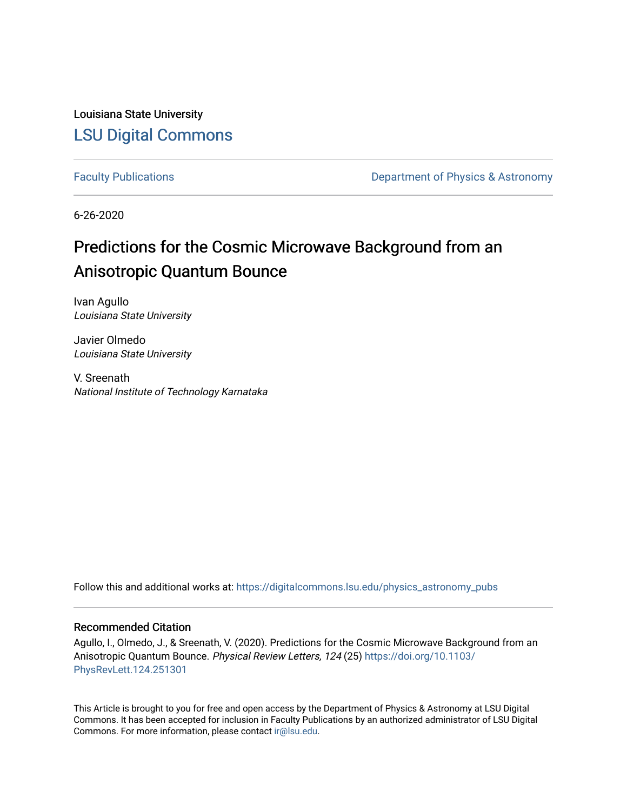Louisiana State University [LSU Digital Commons](https://digitalcommons.lsu.edu/)

[Faculty Publications](https://digitalcommons.lsu.edu/physics_astronomy_pubs) **Exercise 2 and Table 2 and Table 2 and Table 2 and Table 2 and Table 2 and Table 2 and Table 2 and Table 2 and Table 2 and Table 2 and Table 2 and Table 2 and Table 2 and Table 2 and Table 2 and Table** 

6-26-2020

# Predictions for the Cosmic Microwave Background from an Anisotropic Quantum Bounce

Ivan Agullo Louisiana State University

Javier Olmedo Louisiana State University

V. Sreenath National Institute of Technology Karnataka

Follow this and additional works at: [https://digitalcommons.lsu.edu/physics\\_astronomy\\_pubs](https://digitalcommons.lsu.edu/physics_astronomy_pubs?utm_source=digitalcommons.lsu.edu%2Fphysics_astronomy_pubs%2F151&utm_medium=PDF&utm_campaign=PDFCoverPages) 

## Recommended Citation

Agullo, I., Olmedo, J., & Sreenath, V. (2020). Predictions for the Cosmic Microwave Background from an Anisotropic Quantum Bounce. Physical Review Letters, 124 (25) [https://doi.org/10.1103/](https://doi.org/10.1103/PhysRevLett.124.251301) [PhysRevLett.124.251301](https://doi.org/10.1103/PhysRevLett.124.251301) 

This Article is brought to you for free and open access by the Department of Physics & Astronomy at LSU Digital Commons. It has been accepted for inclusion in Faculty Publications by an authorized administrator of LSU Digital Commons. For more information, please contact [ir@lsu.edu](mailto:ir@lsu.edu).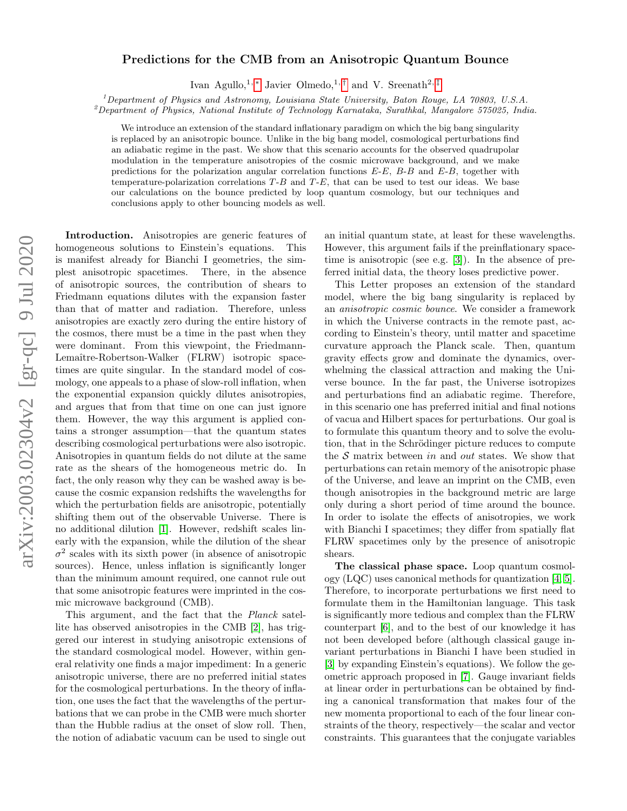# arXiv:2003.02304v2 [gr-qc] 9 Jul 2020 arXiv:2003.02304v2 [gr-qc] 9 Jul 2020

## Predictions for the CMB from an Anisotropic Quantum Bounce

Ivan Agullo,<sup>1, [∗](#page-5-0)</sup> Javier Olmedo,<sup>1,[†](#page-5-1)</sup> and V. Sreenath<sup>2,[‡](#page-5-2)</sup>

<sup>1</sup>Department of Physics and Astronomy, Louisiana State University, Baton Rouge, LA 70803, U.S.A.

 $^{2}$ Department of Physics, National Institute of Technology Karnataka, Surathkal, Mangalore 575025, India.

We introduce an extension of the standard inflationary paradigm on which the big bang singularity is replaced by an anisotropic bounce. Unlike in the big bang model, cosmological perturbations find an adiabatic regime in the past. We show that this scenario accounts for the observed quadrupolar modulation in the temperature anisotropies of the cosmic microwave background, and we make predictions for the polarization angular correlation functions  $E-E$ ,  $B-B$  and  $E-B$ , together with temperature-polarization correlations T-B and T-E, that can be used to test our ideas. We base our calculations on the bounce predicted by loop quantum cosmology, but our techniques and conclusions apply to other bouncing models as well.

Introduction. Anisotropies are generic features of homogeneous solutions to Einstein's equations. This is manifest already for Bianchi I geometries, the simplest anisotropic spacetimes. There, in the absence of anisotropic sources, the contribution of shears to Friedmann equations dilutes with the expansion faster than that of matter and radiation. Therefore, unless anisotropies are exactly zero during the entire history of the cosmos, there must be a time in the past when they were dominant. From this viewpoint, the Friedmann-Lemaître-Robertson-Walker (FLRW) isotropic spacetimes are quite singular. In the standard model of cosmology, one appeals to a phase of slow-roll inflation, when the exponential expansion quickly dilutes anisotropies, and argues that from that time on one can just ignore them. However, the way this argument is applied contains a stronger assumption—that the quantum states describing cosmological perturbations were also isotropic. Anisotropies in quantum fields do not dilute at the same rate as the shears of the homogeneous metric do. In fact, the only reason why they can be washed away is because the cosmic expansion redshifts the wavelengths for which the perturbation fields are anisotropic, potentially shifting them out of the observable Universe. There is no additional dilution [\[1\]](#page-5-3). However, redshift scales linearly with the expansion, while the dilution of the shear  $\sigma^2$  scales with its sixth power (in absence of anisotropic sources). Hence, unless inflation is significantly longer than the minimum amount required, one cannot rule out that some anisotropic features were imprinted in the cosmic microwave background (CMB).

This argument, and the fact that the Planck satellite has observed anisotropies in the CMB [\[2\]](#page-5-4), has triggered our interest in studying anisotropic extensions of the standard cosmological model. However, within general relativity one finds a major impediment: In a generic anisotropic universe, there are no preferred initial states for the cosmological perturbations. In the theory of inflation, one uses the fact that the wavelengths of the perturbations that we can probe in the CMB were much shorter than the Hubble radius at the onset of slow roll. Then, the notion of adiabatic vacuum can be used to single out

an initial quantum state, at least for these wavelengths. However, this argument fails if the preinflationary spacetime is anisotropic (see e.g. [\[3\]](#page-5-5)). In the absence of preferred initial data, the theory loses predictive power.

This Letter proposes an extension of the standard model, where the big bang singularity is replaced by an anisotropic cosmic bounce. We consider a framework in which the Universe contracts in the remote past, according to Einstein's theory, until matter and spacetime curvature approach the Planck scale. Then, quantum gravity effects grow and dominate the dynamics, overwhelming the classical attraction and making the Universe bounce. In the far past, the Universe isotropizes and perturbations find an adiabatic regime. Therefore, in this scenario one has preferred initial and final notions of vacua and Hilbert spaces for perturbations. Our goal is to formulate this quantum theory and to solve the evolution, that in the Schrödinger picture reduces to compute the  $S$  matrix between in and out states. We show that perturbations can retain memory of the anisotropic phase of the Universe, and leave an imprint on the CMB, even though anisotropies in the background metric are large only during a short period of time around the bounce. In order to isolate the effects of anisotropies, we work with Bianchi I spacetimes; they differ from spatially flat FLRW spacetimes only by the presence of anisotropic shears.

The classical phase space. Loop quantum cosmology (LQC) uses canonical methods for quantization [\[4,](#page-5-6) [5\]](#page-5-7). Therefore, to incorporate perturbations we first need to formulate them in the Hamiltonian language. This task is significantly more tedious and complex than the FLRW counterpart [\[6\]](#page-5-8), and to the best of our knowledge it has not been developed before (although classical gauge invariant perturbations in Bianchi I have been studied in [\[3\]](#page-5-5) by expanding Einstein's equations). We follow the geometric approach proposed in [\[7\]](#page-5-9). Gauge invariant fields at linear order in perturbations can be obtained by finding a canonical transformation that makes four of the new momenta proportional to each of the four linear constraints of the theory, respectively—the scalar and vector constraints. This guarantees that the conjugate variables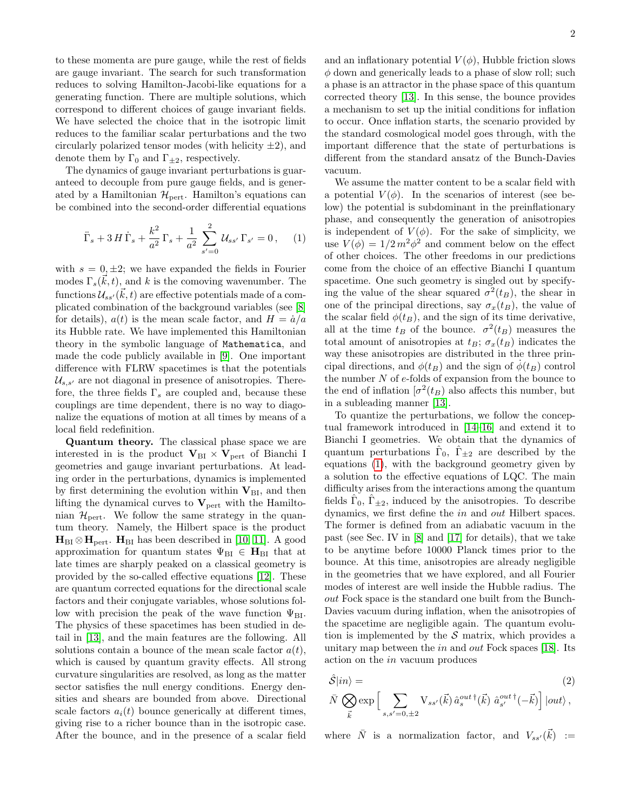to these momenta are pure gauge, while the rest of fields are gauge invariant. The search for such transformation reduces to solving Hamilton-Jacobi-like equations for a generating function. There are multiple solutions, which correspond to different choices of gauge invariant fields. We have selected the choice that in the isotropic limit reduces to the familiar scalar perturbations and the two circularly polarized tensor modes (with helicity  $\pm 2$ ), and denote them by  $\Gamma_0$  and  $\Gamma_{\pm 2}$ , respectively.

The dynamics of gauge invariant perturbations is guaranteed to decouple from pure gauge fields, and is generated by a Hamiltonian  $\mathcal{H}_{\text{pert}}$ . Hamilton's equations can be combined into the second-order differential equations

<span id="page-2-0"></span>
$$
\ddot{\Gamma}_s + 3H\dot{\Gamma}_s + \frac{k^2}{a^2}\Gamma_s + \frac{1}{a^2}\sum_{s'=0}^2 \mathcal{U}_{ss'}\Gamma_{s'} = 0, \quad (1)
$$

with  $s = 0, \pm 2$ ; we have expanded the fields in Fourier modes  $\Gamma_s(\vec{k}, t)$ , and k is the comoving wavenumber. The functions  $\mathcal{U}_{ss'}(\vec{k},t)$  are effective potentials made of a complicated combination of the background variables (see [\[8\]](#page-5-10) for details),  $a(t)$  is the mean scale factor, and  $H = \dot{a}/a$ its Hubble rate. We have implemented this Hamiltonian theory in the symbolic language of Mathematica, and made the code publicly available in [\[9\]](#page-5-11). One important difference with FLRW spacetimes is that the potentials  $\mathcal{U}_{s,s'}$  are not diagonal in presence of anisotropies. Therefore, the three fields  $\Gamma_s$  are coupled and, because these couplings are time dependent, there is no way to diagonalize the equations of motion at all times by means of a local field redefinition.

Quantum theory. The classical phase space we are interested in is the product  $V_{BI} \times V_{pert}$  of Bianchi I geometries and gauge invariant perturbations. At leading order in the perturbations, dynamics is implemented by first determining the evolution within  $V_{\text{BI}}$ , and then lifting the dynamical curves to  $V_{\text{pert}}$  with the Hamiltonian  $\mathcal{H}_{\text{pert}}$ . We follow the same strategy in the quantum theory. Namely, the Hilbert space is the product  $H_{BI} \otimes H_{pert}$ .  $H_{BI}$  has been described in [\[10,](#page-5-12) [11\]](#page-5-13). A good approximation for quantum states  $\Psi_{BI} \in H_{BI}$  that at late times are sharply peaked on a classical geometry is provided by the so-called effective equations [\[12\]](#page-5-14). These are quantum corrected equations for the directional scale factors and their conjugate variables, whose solutions follow with precision the peak of the wave function  $\Psi_{\text{BI}}$ . The physics of these spacetimes has been studied in detail in [\[13\]](#page-5-15), and the main features are the following. All solutions contain a bounce of the mean scale factor  $a(t)$ , which is caused by quantum gravity effects. All strong curvature singularities are resolved, as long as the matter sector satisfies the null energy conditions. Energy densities and shears are bounded from above. Directional scale factors  $a_i(t)$  bounce generically at different times, giving rise to a richer bounce than in the isotropic case. After the bounce, and in the presence of a scalar field

and an inflationary potential  $V(\phi)$ , Hubble friction slows  $\phi$  down and generically leads to a phase of slow roll; such a phase is an attractor in the phase space of this quantum corrected theory [\[13\]](#page-5-15). In this sense, the bounce provides a mechanism to set up the initial conditions for inflation to occur. Once inflation starts, the scenario provided by the standard cosmological model goes through, with the important difference that the state of perturbations is different from the standard ansatz of the Bunch-Davies vacuum.

We assume the matter content to be a scalar field with a potential  $V(\phi)$ . In the scenarios of interest (see below) the potential is subdominant in the preinflationary phase, and consequently the generation of anisotropies is independent of  $V(\phi)$ . For the sake of simplicity, we use  $V(\phi) = 1/2 m^2 \phi^2$  and comment below on the effect of other choices. The other freedoms in our predictions come from the choice of an effective Bianchi I quantum spacetime. One such geometry is singled out by specifying the value of the shear squared  $\sigma^2(t_B)$ , the shear in one of the principal directions, say  $\sigma_x(t_B)$ , the value of the scalar field  $\phi(t_B)$ , and the sign of its time derivative, all at the time  $t_B$  of the bounce.  $\sigma^2(t_B)$  measures the total amount of anisotropies at  $t_B$ ;  $\sigma_x(t_B)$  indicates the way these anisotropies are distributed in the three principal directions, and  $\phi(t_B)$  and the sign of  $\phi(t_B)$  control the number  $N$  of  $e$ -folds of expansion from the bounce to the end of inflation  $\left[\sigma^2(t)}\right]$  also affects this number, but in a subleading manner [\[13\]](#page-5-15).

To quantize the perturbations, we follow the conceptual framework introduced in [\[14–](#page-5-16)[16\]](#page-5-17) and extend it to Bianchi I geometries. We obtain that the dynamics of quantum perturbations  $\hat{\Gamma}_0$ ,  $\hat{\Gamma}_{\pm 2}$  are described by the equations [\(1\)](#page-2-0), with the background geometry given by a solution to the effective equations of LQC. The main difficulty arises from the interactions among the quantum fields  $\hat{\Gamma}_0$ ,  $\hat{\Gamma}_{\pm 2}$ , induced by the anisotropies. To describe dynamics, we first define the in and out Hilbert spaces. The former is defined from an adiabatic vacuum in the past (see Sec. IV in [\[8\]](#page-5-10) and [\[17\]](#page-5-18) for details), that we take to be anytime before 10000 Planck times prior to the bounce. At this time, anisotropies are already negligible in the geometries that we have explored, and all Fourier modes of interest are well inside the Hubble radius. The out Fock space is the standard one built from the Bunch-Davies vacuum during inflation, when the anisotropies of the spacetime are negligible again. The quantum evolution is implemented by the  $S$  matrix, which provides a unitary map between the *in* and *out* Fock spaces [\[18\]](#page-5-19). Its action on the in vacuum produces

<span id="page-2-1"></span>
$$
\hat{S}|in\rangle =
$$
\n
$$
\bar{N} \bigotimes_{\vec{k}} \exp\left[\sum_{s,s'=0,\pm 2} \mathbf{V}_{ss'}(\vec{k}) \,\hat{a}_s^{out\,\dagger}(\vec{k}) \,\,\hat{a}_{s'}^{out\,\dagger}(-\vec{k})\right]|out\rangle,
$$
\n(2)

where  $\overline{N}$  is a normalization factor, and  $V_{ss'}(\vec{k})$  :=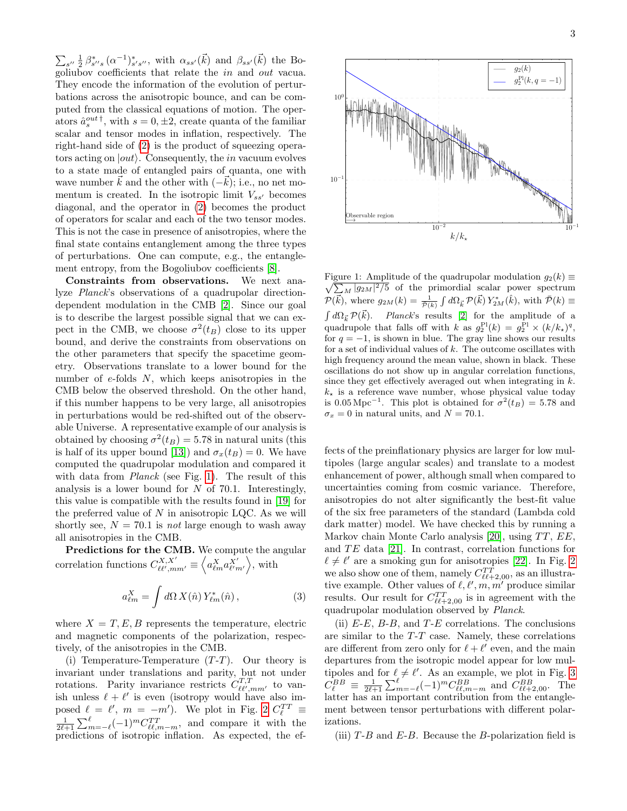$\sum_{s''} \frac{1}{2} \beta_{s''s}^* (\alpha^{-1})_{s's''}^*$ , with  $\alpha_{ss'}(\vec{k})$  and  $\beta_{ss'}(\vec{k})$  the Bogoliubov coefficients that relate the in and out vacua. They encode the information of the evolution of perturbations across the anisotropic bounce, and can be computed from the classical equations of motion. The operators  $\hat{a}_s^{out \dagger}$ , with  $s = 0, \pm 2$ , create quanta of the familiar scalar and tensor modes in inflation, respectively. The right-hand side of [\(2\)](#page-2-1) is the product of squeezing operators acting on  $|out\rangle$ . Consequently, the *in* vacuum evolves to a state made of entangled pairs of quanta, one with wave number  $\vec{k}$  and the other with  $(-\vec{k})$ ; i.e., no net momentum is created. In the isotropic limit  $V_{ss'}$  becomes diagonal, and the operator in [\(2\)](#page-2-1) becomes the product of operators for scalar and each of the two tensor modes. This is not the case in presence of anisotropies, where the final state contains entanglement among the three types of perturbations. One can compute, e.g., the entanglement entropy, from the Bogoliubov coefficients [\[8\]](#page-5-10).

Constraints from observations. We next analyze Planck's observations of a quadrupolar directiondependent modulation in the CMB [\[2\]](#page-5-4). Since our goal is to describe the largest possible signal that we can expect in the CMB, we choose  $\sigma^2(t_B)$  close to its upper bound, and derive the constraints from observations on the other parameters that specify the spacetime geometry. Observations translate to a lower bound for the number of  $e$ -folds  $N$ , which keeps anisotropies in the CMB below the observed threshold. On the other hand, if this number happens to be very large, all anisotropies in perturbations would be red-shifted out of the observable Universe. A representative example of our analysis is obtained by choosing  $\sigma^2(t_B) = 5.78$  in natural units (this is half of its upper bound [\[13\]](#page-5-15)) and  $\sigma_x(t_B) = 0$ . We have computed the quadrupolar modulation and compared it with data from *Planck* (see Fig. [1\)](#page-3-0). The result of this analysis is a lower bound for  $N$  of 70.1. Interestingly, this value is compatible with the results found in [\[19\]](#page-5-20) for the preferred value of  $N$  in anisotropic LQC. As we will shortly see,  $N = 70.1$  is not large enough to wash away all anisotropies in the CMB.

Predictions for the CMB. We compute the angular correlation functions  $C_{\ell\ell',mm'}^{X,X'} \equiv \left\langle a_{\ell m}^X a_{\ell' m'}^{X'} \right\rangle$ , with

$$
a_{\ell m}^X = \int d\Omega \, X(\hat{n}) \, Y_{\ell m}^*(\hat{n}) \,, \tag{3}
$$

where  $X = T, E, B$  represents the temperature, electric and magnetic components of the polarization, respectively, of the anisotropies in the CMB.

(i) Temperature-Temperature  $(T-T)$ . Our theory is invariant under translations and parity, but not under rotations. Parity invariance restricts  $C_{\ell \ell',mm'}^{T,T}$  to vanish unless  $\ell + \ell'$  is even (isotropy would have also imposed  $\ell = \ell'$ ,  $m = -m'$ ). We plot in Fig. [2](#page-4-0)  $C_{\ell}^{TT} \equiv$  $\frac{1}{2\ell+1}\sum_{m=-\ell}^{\ell}(-1)^{m}C_{\ell\ell,m-m}^{TT}$ , and compare it with the predictions of isotropic inflation. As expected, the ef-



<span id="page-3-0"></span> $\sqrt{\sum_M |g_{2M}|^2/5}$  of the primordial scalar power spectrum Figure 1: Amplitude of the quadrupolar modulation  $g_2(k) \equiv$  $\mathcal{P}(\vec{k})$ , where  $g_{2M}(k) = \frac{1}{\overline{\mathcal{P}}(k)} \int d\Omega_{\vec{k}} \mathcal{P}(\vec{k}) Y_{2M}^*(\hat{k})$ , with  $\overline{\mathcal{P}}(k) \equiv$  $\int d\Omega_{\vec{k}} \mathcal{P}(\vec{k})$ . Planck's results [\[2\]](#page-5-4) for the amplitude of a quadrupole that falls off with k as  $g_2^{\text{Pl}}(k) = g_2^{\text{Pl}} \times (k/k_\star)^q$ , for  $q = -1$ , is shown in blue. The gray line shows our results for a set of individual values of  $k$ . The outcome oscillates with high frequency around the mean value, shown in black. These oscillations do not show up in angular correlation functions, since they get effectively averaged out when integrating in  $k$ .  $k_{\star}$  is a reference wave number, whose physical value today is 0.05 Mpc<sup>-1</sup>. This plot is obtained for  $\sigma^2(t_B) = 5.78$  and  $\sigma_x = 0$  in natural units, and  $N = 70.1$ .

fects of the preinflationary physics are larger for low multipoles (large angular scales) and translate to a modest enhancement of power, although small when compared to uncertainties coming from cosmic variance. Therefore, anisotropies do not alter significantly the best-fit value of the six free parameters of the standard (Lambda cold dark matter) model. We have checked this by running a Markov chain Monte Carlo analysis [\[20\]](#page-5-21), using  $TT$ ,  $EE$ , and  $TE$  data [\[21\]](#page-5-22). In contrast, correlation functions for  $\ell \neq \ell'$  are a smoking gun for anisotropies [\[22\]](#page-5-23). In Fig. [2](#page-4-0) we also show one of them, namely  $C_{\ell \ell+2,00}^{TT}$ , as an illustrative example. Other values of  $\ell, \ell', m, m'$  produce similar results. Our result for  $C_{\ell\ell+2,00}^{TT}$  is in agreement with the quadrupolar modulation observed by Planck.

(ii)  $E-E$ ,  $B-B$ , and  $T-E$  correlations. The conclusions are similar to the T-T case. Namely, these correlations are different from zero only for  $\ell + \ell'$  even, and the main departures from the isotropic model appear for low multipoles and for  $\ell \neq \ell'$ . As an example, we plot in Fig. [3](#page-4-1)  $C_{\ell}^{BB} \equiv \frac{1}{2\ell+1} \sum_{m=-\ell}^{\ell} (-1)^m C_{\ell\ell,m-m}^{BB}$  and  $C_{\ell\ell+2,00}^{BB}$ . The latter has an important contribution from the entanglement between tensor perturbations with different polarizations.

(iii)  $T-B$  and  $E-B$ . Because the B-polarization field is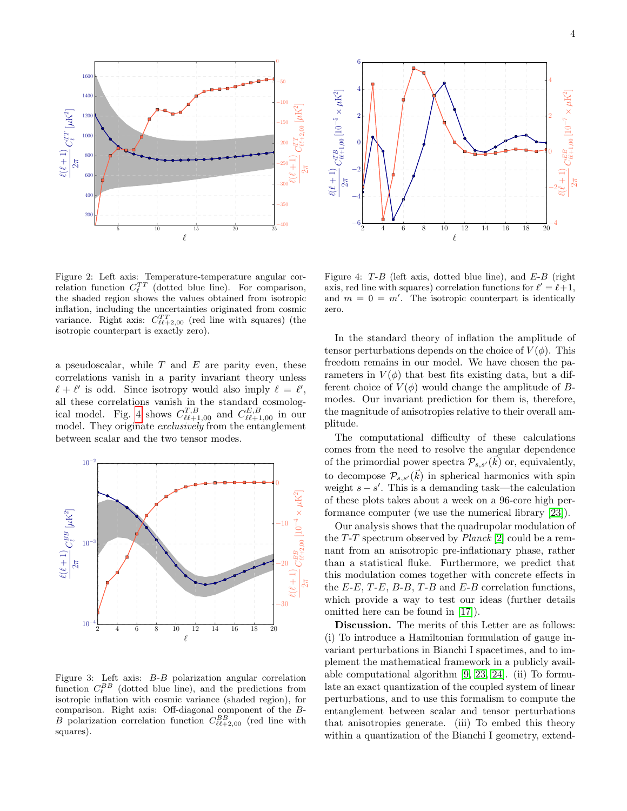

<span id="page-4-0"></span>Figure 2: Left axis: Temperature-temperature angular correlation function  $C_{\ell}^{TT}$  (dotted blue line). For comparison, the shaded region shows the values obtained from isotropic inflation, including the uncertainties originated from cosmic variance. Right axis:  $C_{\ell\ell+2,00}^{TT}$  (red line with squares) (the isotropic counterpart is exactly zero).

a pseudoscalar, while  $T$  and  $E$  are parity even, these correlations vanish in a parity invariant theory unless  $\ell + \ell'$  is odd. Since isotropy would also imply  $\ell = \ell'$ , all these correlations vanish in the standard cosmolog-ical model. Fig. [4](#page-4-2) shows  $C_{\ell\ell+1,00}^{T,B}$  and  $C_{\ell\ell+1,00}^{E,B}$  in our model. They originate *exclusively* from the entanglement between scalar and the two tensor modes.



<span id="page-4-1"></span>Figure 3: Left axis: B-B polarization angular correlation function  $C_{\ell}^{BB}$  (dotted blue line), and the predictions from isotropic inflation with cosmic variance (shaded region), for comparison. Right axis: Off-diagonal component of the B-B polarization correlation function  $C_{\ell\ell+2,00}^{BB}$  (red line with squares).



<span id="page-4-2"></span>Figure 4:  $T-B$  (left axis, dotted blue line), and  $E-B$  (right axis, red line with squares) correlation functions for  $\ell' = \ell + 1$ , and  $m = 0 = m'$ . The isotropic counterpart is identically zero.

In the standard theory of inflation the amplitude of tensor perturbations depends on the choice of  $V(\phi)$ . This freedom remains in our model. We have chosen the parameters in  $V(\phi)$  that best fits existing data, but a different choice of  $V(\phi)$  would change the amplitude of Bmodes. Our invariant prediction for them is, therefore, the magnitude of anisotropies relative to their overall amplitude.

The computational difficulty of these calculations comes from the need to resolve the angular dependence of the primordial power spectra  $\mathcal{P}_{s,s'}(\vec{k})$  or, equivalently, to decompose  $\mathcal{P}_{s,s'}(\vec{k})$  in spherical harmonics with spin weight  $s - s'$ . This is a demanding task—the calculation of these plots takes about a week on a 96-core high performance computer (we use the numerical library [\[23\]](#page-5-24)).

Our analysis shows that the quadrupolar modulation of the  $T-T$  spectrum observed by  $Planck$  [\[2\]](#page-5-4) could be a remnant from an anisotropic pre-inflationary phase, rather than a statistical fluke. Furthermore, we predict that this modulation comes together with concrete effects in the  $E-E$ ,  $T-E$ ,  $B-B$ ,  $T-B$  and  $E-B$  correlation functions, which provide a way to test our ideas (further details omitted here can be found in [\[17\]](#page-5-18)).

Discussion. The merits of this Letter are as follows: (i) To introduce a Hamiltonian formulation of gauge invariant perturbations in Bianchi I spacetimes, and to implement the mathematical framework in a publicly available computational algorithm [\[9,](#page-5-11) [23,](#page-5-24) [24\]](#page-5-25). (ii) To formulate an exact quantization of the coupled system of linear perturbations, and to use this formalism to compute the entanglement between scalar and tensor perturbations that anisotropies generate. (iii) To embed this theory within a quantization of the Bianchi I geometry, extend